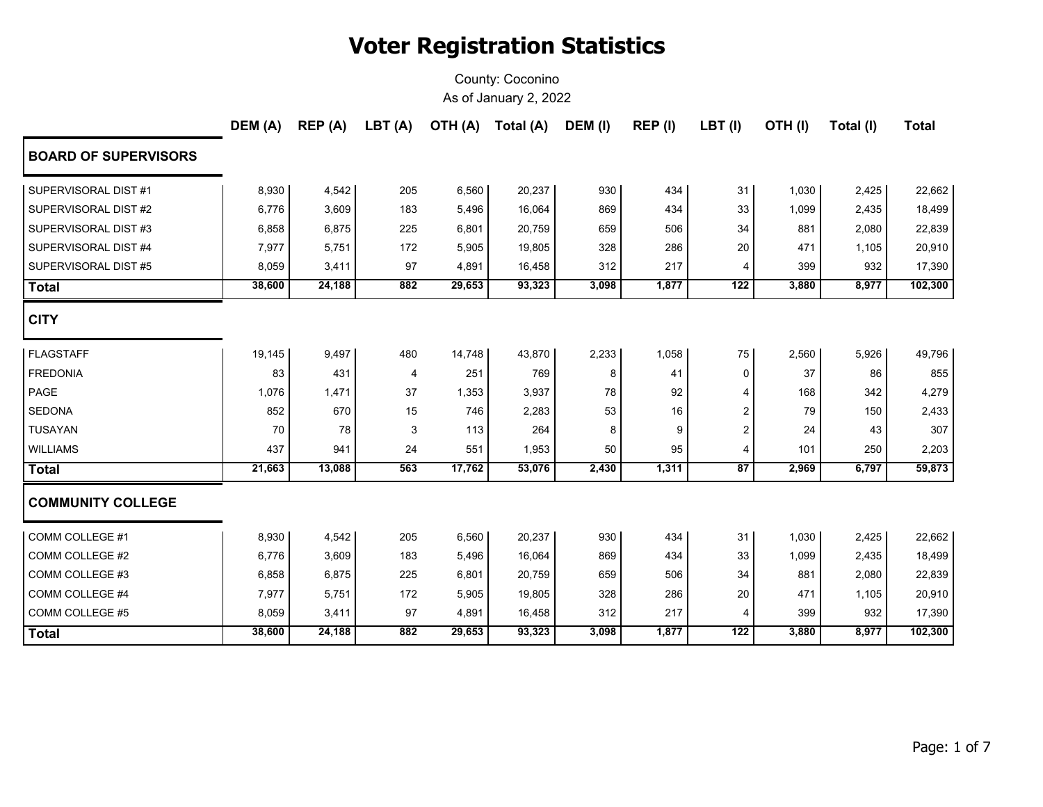|                             | DEM (A) | REP (A) | LBT(A) | OTH (A) | Total (A) | DEM (I) | REP (I) | $LBT$ (I) | OTH(I) | Total (I) | <b>Total</b> |
|-----------------------------|---------|---------|--------|---------|-----------|---------|---------|-----------|--------|-----------|--------------|
| <b>BOARD OF SUPERVISORS</b> |         |         |        |         |           |         |         |           |        |           |              |
| SUPERVISORAL DIST #1        | 8,930   | 4,542   | 205    | 6,560   | 20,237    | 930     | 434     | 31        | 1,030  | 2,425     | 22,662       |
| SUPERVISORAL DIST #2        | 6,776   | 3,609   | 183    | 5,496   | 16,064    | 869     | 434     | 33        | 1,099  | 2,435     | 18,499       |
| SUPERVISORAL DIST #3        | 6,858   | 6,875   | 225    | 6,801   | 20,759    | 659     | 506     | 34        | 881    | 2,080     | 22,839       |
| SUPERVISORAL DIST #4        | 7,977   | 5,751   | 172    | 5,905   | 19,805    | 328     | 286     | 20        | 471    | 1,105     | 20,910       |
| SUPERVISORAL DIST #5        | 8,059   | 3,411   | 97     | 4,891   | 16,458    | 312     | 217     | 4         | 399    | 932       | 17,390       |
| Total                       | 38,600  | 24,188  | 882    | 29,653  | 93,323    | 3,098   | 1,877   | 122       | 3,880  | 8,977     | 102,300      |
| <b>CITY</b>                 |         |         |        |         |           |         |         |           |        |           |              |
| <b>FLAGSTAFF</b>            | 19,145  | 9,497   | 480    | 14,748  | 43,870    | 2,233   | 1,058   | 75        | 2,560  | 5,926     | 49,796       |
| <b>FREDONIA</b>             | 83      | 431     | 4      | 251     | 769       | 8       | 41      | 0         | 37     | 86        | 855          |
| PAGE                        | 1,076   | 1,471   | 37     | 1,353   | 3,937     | 78      | 92      | 4         | 168    | 342       | 4,279        |
| <b>SEDONA</b>               | 852     | 670     | 15     | 746     | 2,283     | 53      | 16      | 2         | 79     | 150       | 2,433        |
| <b>TUSAYAN</b>              | 70      | 78      | 3      | 113     | 264       | 8       | 9       | 2         | 24     | 43        | 307          |
| <b>WILLIAMS</b>             | 437     | 941     | 24     | 551     | 1,953     | 50      | 95      | 4         | 101    | 250       | 2,203        |
| <b>Total</b>                | 21,663  | 13,088  | 563    | 17,762  | 53,076    | 2,430   | 1,311   | 87        | 2,969  | 6,797     | 59,873       |
| <b>COMMUNITY COLLEGE</b>    |         |         |        |         |           |         |         |           |        |           |              |
| COMM COLLEGE #1             | 8,930   | 4,542   | 205    | 6,560   | 20,237    | 930     | 434     | 31        | 1,030  | 2,425     | 22,662       |
| COMM COLLEGE #2             | 6,776   | 3,609   | 183    | 5,496   | 16,064    | 869     | 434     | 33        | 1,099  | 2,435     | 18,499       |
| COMM COLLEGE #3             | 6,858   | 6,875   | 225    | 6,801   | 20,759    | 659     | 506     | 34        | 881    | 2,080     | 22,839       |
| COMM COLLEGE #4             | 7,977   | 5,751   | 172    | 5,905   | 19,805    | 328     | 286     | 20        | 471    | 1,105     | 20,910       |
| COMM COLLEGE #5             | 8,059   | 3,411   | 97     | 4,891   | 16,458    | 312     | 217     | 4         | 399    | 932       | 17,390       |
| <b>Total</b>                | 38,600  | 24,188  | 882    | 29,653  | 93,323    | 3,098   | 1,877   | 122       | 3,880  | 8,977     | 102,300      |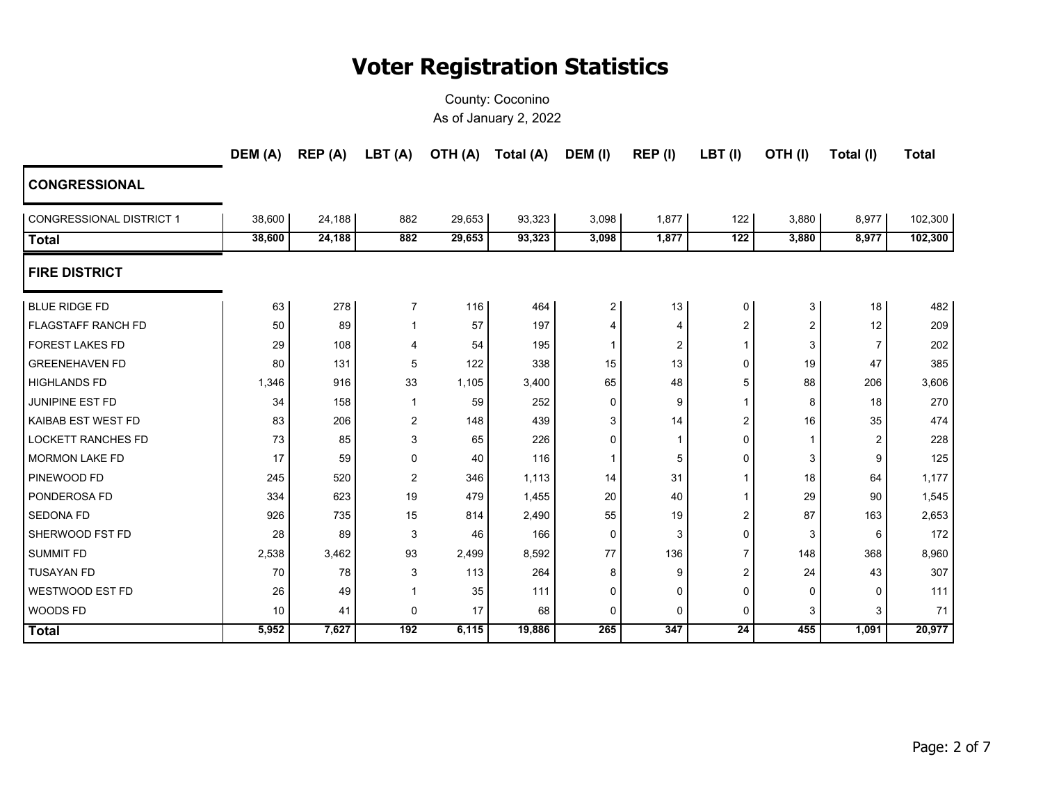|                           | DEM (A) | REP (A) | LBT(A)         |        | OTH (A) Total (A) | DEM (I)        | REP (I)                 | $LBT$ (I)               | OTH(I)   | Total (I) | <b>Total</b> |
|---------------------------|---------|---------|----------------|--------|-------------------|----------------|-------------------------|-------------------------|----------|-----------|--------------|
| <b>CONGRESSIONAL</b>      |         |         |                |        |                   |                |                         |                         |          |           |              |
| CONGRESSIONAL DISTRICT 1  | 38,600  | 24,188  | 882            | 29,653 | 93,323            | 3,098          | 1,877                   | 122                     | 3,880    | 8,977     | 102,300      |
| <b>Total</b>              | 38,600  | 24,188  | 882            | 29,653 | 93,323            | 3,098          | 1,877                   | 122                     | 3,880    | 8,977     | 102,300      |
| <b>FIRE DISTRICT</b>      |         |         |                |        |                   |                |                         |                         |          |           |              |
| <b>BLUE RIDGE FD</b>      | 63      | 278     | $\overline{7}$ | 116    | 464               | $\overline{2}$ | 13                      | 0                       | 3        | 18        | 482          |
| <b>FLAGSTAFF RANCH FD</b> | 50      | 89      | 1              | 57     | 197               | 4              | 4                       | $\overline{\mathbf{c}}$ | 2        | 12        | 209          |
| <b>FOREST LAKES FD</b>    | 29      | 108     | 4              | 54     | 195               | -1             | $\overline{\mathbf{c}}$ | $\mathbf{1}$            | 3        | 7         | 202          |
| <b>GREENEHAVEN FD</b>     | 80      | 131     | 5              | 122    | 338               | 15             | 13                      | 0                       | 19       | 47        | 385          |
| <b>HIGHLANDS FD</b>       | 1,346   | 916     | 33             | 1,105  | 3,400             | 65             | 48                      | 5                       | 88       | 206       | 3,606        |
| <b>JUNIPINE EST FD</b>    | 34      | 158     | 1              | 59     | 252               | $\Omega$       | 9                       | $\mathbf{1}$            | 8        | 18        | 270          |
| <b>KAIBAB EST WEST FD</b> | 83      | 206     | 2              | 148    | 439               | 3              | 14                      | 2                       | 16       | 35        | 474          |
| <b>LOCKETT RANCHES FD</b> | 73      | 85      | 3              | 65     | 226               | 0              | -1                      | 0                       | 1        | 2         | 228          |
| <b>MORMON LAKE FD</b>     | 17      | 59      | 0              | 40     | 116               | 1              | 5                       | 0                       | 3        | 9         | 125          |
| <b>PINEWOOD FD</b>        | 245     | 520     | $\overline{2}$ | 346    | 1,113             | 14             | 31                      | 1                       | 18       | 64        | 1,177        |
| <b>PONDEROSA FD</b>       | 334     | 623     | 19             | 479    | 1,455             | 20             | 40                      | $\mathbf{1}$            | 29       | 90        | 1,545        |
| <b>SEDONA FD</b>          | 926     | 735     | 15             | 814    | 2,490             | 55             | 19                      | 2                       | 87       | 163       | 2,653        |
| SHERWOOD FST FD           | 28      | 89      | 3              | 46     | 166               | $\Omega$       | 3                       | 0                       | 3        | 6         | 172          |
| <b>SUMMIT FD</b>          | 2,538   | 3,462   | 93             | 2,499  | 8,592             | 77             | 136                     | $\overline{7}$          | 148      | 368       | 8,960        |
| <b>TUSAYAN FD</b>         | 70      | 78      | 3              | 113    | 264               | 8              | 9                       | 2                       | 24       | 43        | 307          |
| WESTWOOD EST FD           | 26      | 49      | $\mathbf{1}$   | 35     | 111               | $\Omega$       | 0                       | $\mathbf 0$             | $\Omega$ | $\Omega$  | 111          |
| <b>WOODS FD</b>           | 10      | 41      | 0              | 17     | 68                | 0              | $\mathbf 0$             | 0                       | 3        | 3         | 71           |
| <b>Total</b>              | 5,952   | 7,627   | 192            | 6,115  | 19,886            | 265            | 347                     | $\overline{24}$         | 455      | 1,091     | 20,977       |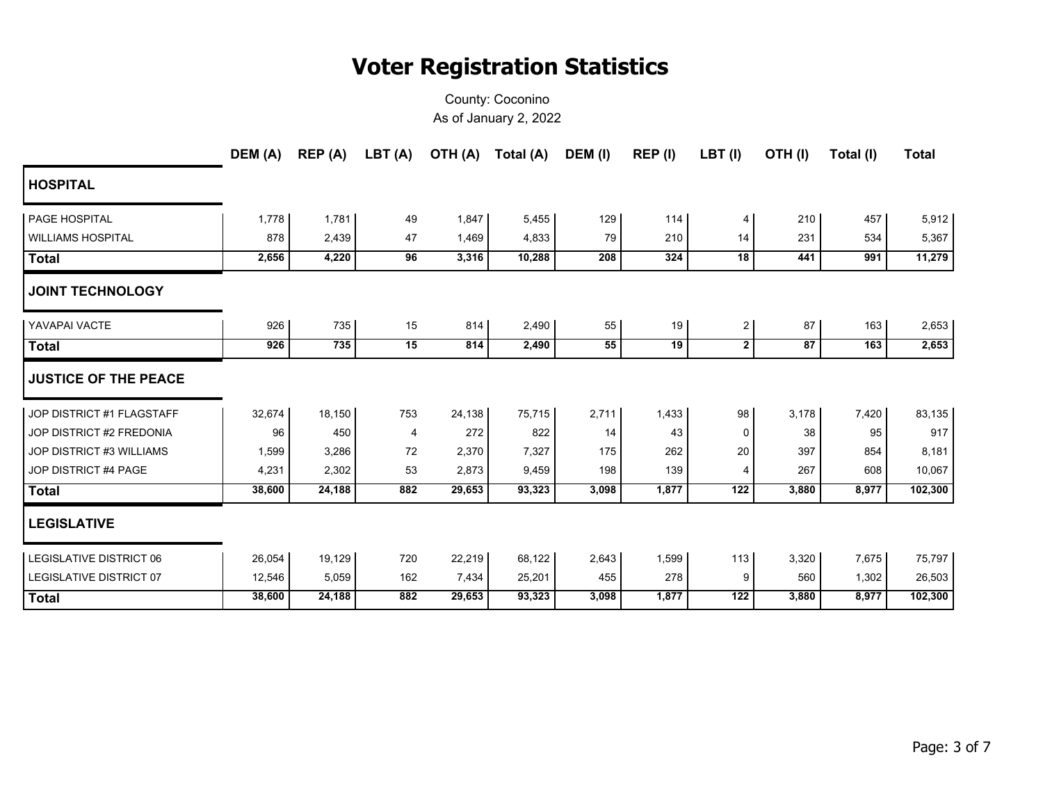|                                | DEM (A) | REP (A) | LBT (A) | OTH (A) | Total (A) | DEM (I) | REP (I) | $LBT$ (I)      | OTH(I) | Total (I) | <b>Total</b> |
|--------------------------------|---------|---------|---------|---------|-----------|---------|---------|----------------|--------|-----------|--------------|
| <b>HOSPITAL</b>                |         |         |         |         |           |         |         |                |        |           |              |
| PAGE HOSPITAL                  | 1,778   | 1,781   | 49      | 1,847   | 5,455     | 129     | 114     | 4              | 210    | 457       | 5,912        |
| <b>WILLIAMS HOSPITAL</b>       | 878     | 2,439   | 47      | 1,469   | 4,833     | 79      | 210     | 14             | 231    | 534       | 5,367        |
| Total                          | 2,656   | 4,220   | 96      | 3,316   | 10,288    | 208     | 324     | 18             | 441    | 991       | 11,279       |
| <b>JOINT TECHNOLOGY</b>        |         |         |         |         |           |         |         |                |        |           |              |
| YAVAPAI VACTE                  | 926     | 735     | 15      | 814     | 2,490     | 55      | 19      | $\overline{c}$ | 87     | 163       | 2,653        |
| <b>Total</b>                   | 926     | 735     | 15      | 814     | 2,490     | 55      | 19      | $\mathbf{2}$   | 87     | 163       | 2,653        |
| <b>JUSTICE OF THE PEACE</b>    |         |         |         |         |           |         |         |                |        |           |              |
| JOP DISTRICT #1 FLAGSTAFF      | 32,674  | 18,150  | 753     | 24,138  | 75,715    | 2,711   | 1,433   | 98             | 3,178  | 7,420     | 83,135       |
| JOP DISTRICT #2 FREDONIA       | 96      | 450     | 4       | 272     | 822       | 14      | 43      | 0              | 38     | 95        | 917          |
| JOP DISTRICT #3 WILLIAMS       | 1,599   | 3,286   | 72      | 2,370   | 7,327     | 175     | 262     | 20             | 397    | 854       | 8,181        |
| JOP DISTRICT #4 PAGE           | 4,231   | 2,302   | 53      | 2,873   | 9,459     | 198     | 139     | 4              | 267    | 608       | 10,067       |
| <b>Total</b>                   | 38,600  | 24,188  | 882     | 29,653  | 93,323    | 3,098   | 1,877   | 122            | 3,880  | 8,977     | 102,300      |
| <b>LEGISLATIVE</b>             |         |         |         |         |           |         |         |                |        |           |              |
| <b>LEGISLATIVE DISTRICT 06</b> | 26,054  | 19,129  | 720     | 22,219  | 68,122    | 2,643   | 1,599   | 113            | 3,320  | 7,675     | 75,797       |
| <b>LEGISLATIVE DISTRICT 07</b> | 12,546  | 5,059   | 162     | 7,434   | 25,201    | 455     | 278     | 9              | 560    | 1,302     | 26,503       |
| <b>Total</b>                   | 38,600  | 24,188  | 882     | 29,653  | 93,323    | 3,098   | 1,877   | 122            | 3,880  | 8,977     | 102,300      |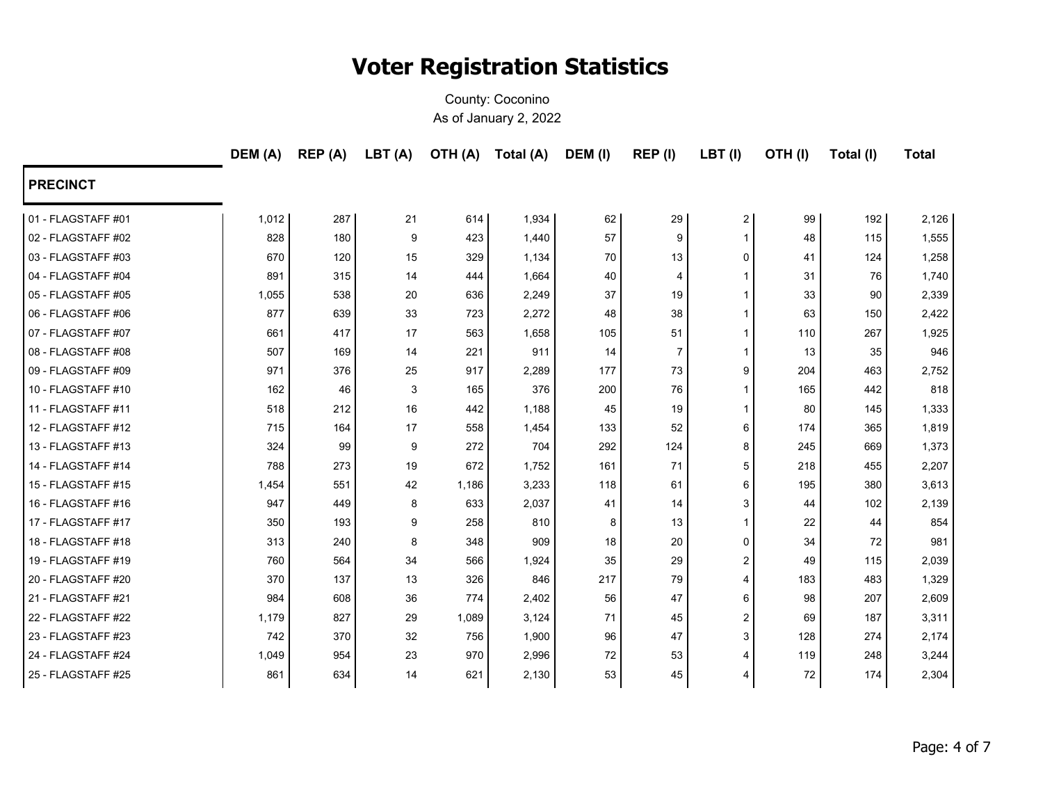|                    | DEM (A) | REP (A) | LBT (A) | <b>OTH (A)</b> | Total (A) | DEM (I) | REP(I)         | LBT(I)         | OTH(I) | Total (I) | <b>Total</b> |
|--------------------|---------|---------|---------|----------------|-----------|---------|----------------|----------------|--------|-----------|--------------|
| <b>PRECINCT</b>    |         |         |         |                |           |         |                |                |        |           |              |
| 01 - FLAGSTAFF #01 | 1,012   | 287     | 21      | 614            | 1,934     | 62      | 29             | $\overline{2}$ | 99     | 192       | 2,126        |
| 02 - FLAGSTAFF #02 | 828     | 180     | 9       | 423            | 1,440     | 57      | 9              | $\mathbf 1$    | 48     | 115       | 1,555        |
| 03 - FLAGSTAFF #03 | 670     | 120     | 15      | 329            | 1,134     | 70      | 13             | $\Omega$       | 41     | 124       | 1,258        |
| 04 - FLAGSTAFF #04 | 891     | 315     | 14      | 444            | 1,664     | 40      | 4              | -1             | 31     | 76        | 1,740        |
| 05 - FLAGSTAFF #05 | 1,055   | 538     | 20      | 636            | 2,249     | 37      | 19             |                | 33     | 90        | 2,339        |
| 06 - FLAGSTAFF #06 | 877     | 639     | 33      | 723            | 2,272     | 48      | 38             | 1              | 63     | 150       | 2,422        |
| 07 - FLAGSTAFF #07 | 661     | 417     | 17      | 563            | 1,658     | 105     | 51             | -1             | 110    | 267       | 1,925        |
| 08 - FLAGSTAFF #08 | 507     | 169     | 14      | 221            | 911       | 14      | $\overline{7}$ | 1              | 13     | 35        | 946          |
| 09 - FLAGSTAFF #09 | 971     | 376     | 25      | 917            | 2,289     | 177     | 73             | 9              | 204    | 463       | 2,752        |
| 10 - FLAGSTAFF #10 | 162     | 46      | 3       | 165            | 376       | 200     | 76             | 1              | 165    | 442       | 818          |
| 11 - FLAGSTAFF #11 | 518     | 212     | 16      | 442            | 1,188     | 45      | 19             | 1              | 80     | 145       | 1,333        |
| 12 - FLAGSTAFF #12 | 715     | 164     | 17      | 558            | 1,454     | 133     | 52             | 6              | 174    | 365       | 1,819        |
| 13 - FLAGSTAFF #13 | 324     | 99      | 9       | 272            | 704       | 292     | 124            | 8              | 245    | 669       | 1,373        |
| 14 - FLAGSTAFF #14 | 788     | 273     | 19      | 672            | 1,752     | 161     | 71             | 5              | 218    | 455       | 2,207        |
| 15 - FLAGSTAFF #15 | 1,454   | 551     | 42      | 1,186          | 3,233     | 118     | 61             | 6              | 195    | 380       | 3,613        |
| 16 - FLAGSTAFF #16 | 947     | 449     | 8       | 633            | 2,037     | 41      | 14             | 3              | 44     | 102       | 2,139        |
| 17 - FLAGSTAFF #17 | 350     | 193     | 9       | 258            | 810       | 8       | 13             | $\mathbf 1$    | 22     | 44        | 854          |
| 18 - FLAGSTAFF #18 | 313     | 240     | 8       | 348            | 909       | 18      | 20             | $\mathbf 0$    | 34     | 72        | 981          |
| 19 - FLAGSTAFF #19 | 760     | 564     | 34      | 566            | 1,924     | 35      | 29             | 2              | 49     | 115       | 2,039        |
| 20 - FLAGSTAFF #20 | 370     | 137     | 13      | 326            | 846       | 217     | 79             | 4              | 183    | 483       | 1,329        |
| 21 - FLAGSTAFF #21 | 984     | 608     | 36      | 774            | 2,402     | 56      | 47             | 6              | 98     | 207       | 2,609        |
| 22 - FLAGSTAFF #22 | 1,179   | 827     | 29      | 1,089          | 3,124     | 71      | 45             | 2              | 69     | 187       | 3,311        |
| 23 - FLAGSTAFF #23 | 742     | 370     | 32      | 756            | 1,900     | 96      | 47             | 3              | 128    | 274       | 2,174        |
| 24 - FLAGSTAFF #24 | 1,049   | 954     | 23      | 970            | 2,996     | 72      | 53             | 4              | 119    | 248       | 3,244        |
| 25 - FLAGSTAFF #25 | 861     | 634     | 14      | 621            | 2,130     | 53      | 45             | 4              | 72     | 174       | 2,304        |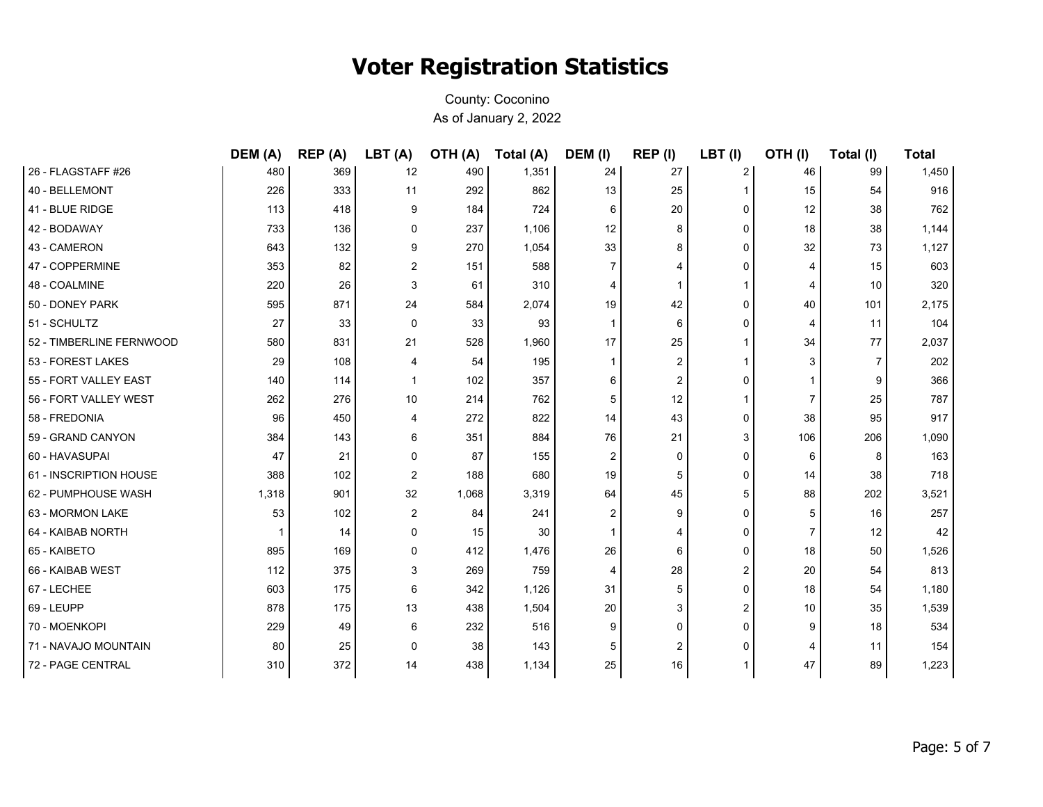|                          | DEM (A) | REP (A) | LBT (A)        | OTH (A) | Total (A) | DEM (I)        | REP (I)        | LBT (I) | OTH(I) | Total (I) | <b>Total</b> |
|--------------------------|---------|---------|----------------|---------|-----------|----------------|----------------|---------|--------|-----------|--------------|
| 26 - FLAGSTAFF #26       | 480     | 369     | 12             | 490     | 1,351     | 24             | 27             | 2       | 46     | 99        | 1,450        |
| 40 - BELLEMONT           | 226     | 333     | 11             | 292     | 862       | 13             | 25             | 1       | 15     | 54        | 916          |
| 41 - BLUE RIDGE          | 113     | 418     | 9              | 184     | 724       | 6              | 20             | 0       | 12     | 38        | 762          |
| 42 - BODAWAY             | 733     | 136     | $\mathbf 0$    | 237     | 1,106     | 12             | 8              | 0       | 18     | 38        | 1,144        |
| 43 - CAMERON             | 643     | 132     | 9              | 270     | 1,054     | 33             | 8              | 0       | 32     | 73        | 1,127        |
| 47 - COPPERMINE          | 353     | 82      | $\overline{2}$ | 151     | 588       | 7              | 4              | 0       |        | 15        | 603          |
| 48 - COALMINE            | 220     | 26      | 3              | 61      | 310       | 4              | 1              | 1       | 4      | 10        | 320          |
| 50 - DONEY PARK          | 595     | 871     | 24             | 584     | 2,074     | 19             | 42             | 0       | 40     | 101       | 2,175        |
| 51 - SCHULTZ             | 27      | 33      | $\mathbf 0$    | 33      | 93        | 1              | 6              | 0       | 4      | 11        | 104          |
| 52 - TIMBERLINE FERNWOOD | 580     | 831     | 21             | 528     | 1,960     | 17             | 25             | 1       | 34     | 77        | 2,037        |
| 53 - FOREST LAKES        | 29      | 108     | 4              | 54      | 195       |                | $\overline{2}$ |         | 3      | 7         | 202          |
| 55 - FORT VALLEY EAST    | 140     | 114     | $\mathbf{1}$   | 102     | 357       | 6              | 2              | 0       |        | 9         | 366          |
| 56 - FORT VALLEY WEST    | 262     | 276     | 10             | 214     | 762       | 5              | 12             | 1       |        | 25        | 787          |
| 58 - FREDONIA            | 96      | 450     | 4              | 272     | 822       | 14             | 43             | 0       | 38     | 95        | 917          |
| 59 - GRAND CANYON        | 384     | 143     | 6              | 351     | 884       | 76             | 21             | 3       | 106    | 206       | 1,090        |
| 60 - HAVASUPAI           | 47      | 21      | $\Omega$       | 87      | 155       | $\overline{2}$ | $\Omega$       | 0       | 6      | 8         | 163          |
| 61 - INSCRIPTION HOUSE   | 388     | 102     | 2              | 188     | 680       | 19             | 5              | 0       | 14     | 38        | 718          |
| 62 - PUMPHOUSE WASH      | 1,318   | 901     | 32             | 1,068   | 3,319     | 64             | 45             | 5       | 88     | 202       | 3,521        |
| 63 - MORMON LAKE         | 53      | 102     | 2              | 84      | 241       | $\overline{2}$ | 9              | 0       | 5      | 16        | 257          |
| 64 - KAIBAB NORTH        | -1      | 14      | 0              | 15      | 30        |                | $\overline{4}$ | 0       |        | 12        | 42           |
| 65 - KAIBETO             | 895     | 169     | 0              | 412     | 1,476     | 26             | 6              | 0       | 18     | 50        | 1,526        |
| 66 - KAIBAB WEST         | 112     | 375     | 3              | 269     | 759       | 4              | 28             | 2       | 20     | 54        | 813          |
| 67 - LECHEE              | 603     | 175     | 6              | 342     | 1,126     | 31             | 5              | 0       | 18     | 54        | 1,180        |
| 69 - LEUPP               | 878     | 175     | 13             | 438     | 1,504     | 20             | 3              | 2       | 10     | 35        | 1,539        |
| 70 - MOENKOPI            | 229     | 49      | 6              | 232     | 516       | 9              | $\Omega$       | 0       | 9      | 18        | 534          |
| 71 - NAVAJO MOUNTAIN     | 80      | 25      | $\Omega$       | 38      | 143       | 5              | 2              | 0       |        | 11        | 154          |
| 72 - PAGE CENTRAL        | 310     | 372     | 14             | 438     | 1,134     | 25             | 16             |         | 47     | 89        | 1,223        |
|                          |         |         |                |         |           |                |                |         |        |           |              |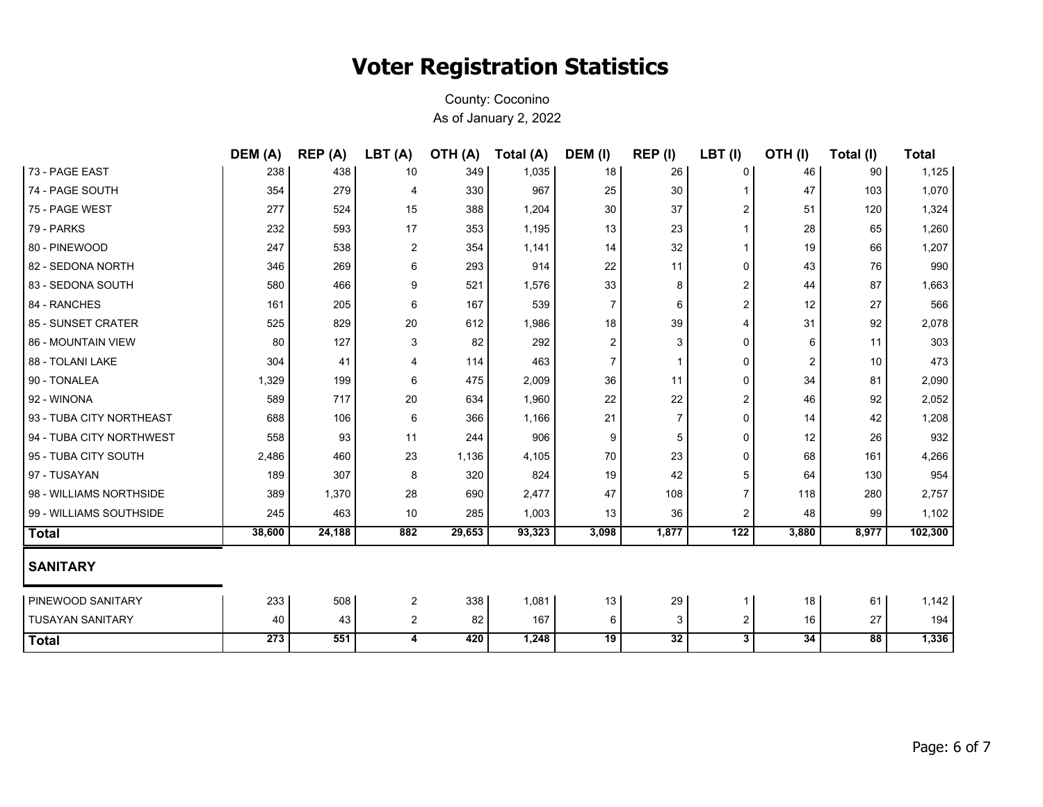|                          | DEM (A) | REP (A) | LBT(A)         | <b>OTH (A)</b> | Total (A) | DEM (I)        | REP (I)        | LBT(I)         | OTH(I) | Total (I) | <b>Total</b> |
|--------------------------|---------|---------|----------------|----------------|-----------|----------------|----------------|----------------|--------|-----------|--------------|
| 73 - PAGE EAST           | 238     | 438     | 10             | 349            | 1,035     | 18             | 26             | 0              | 46     | 90        | 1,125        |
| 74 - PAGE SOUTH          | 354     | 279     | 4              | 330            | 967       | 25             | 30             |                | 47     | 103       | 1,070        |
| 75 - PAGE WEST           | 277     | 524     | 15             | 388            | 1,204     | 30             | 37             | 2              | 51     | 120       | 1,324        |
| 79 - PARKS               | 232     | 593     | 17             | 353            | 1,195     | 13             | 23             | 1              | 28     | 65        | 1,260        |
| 80 - PINEWOOD            | 247     | 538     | $\overline{c}$ | 354            | 1,141     | 14             | 32             | 1              | 19     | 66        | 1,207        |
| 82 - SEDONA NORTH        | 346     | 269     | 6              | 293            | 914       | 22             | 11             | 0              | 43     | 76        | 990          |
| 83 - SEDONA SOUTH        | 580     | 466     | 9              | 521            | 1,576     | 33             | 8              | 2              | 44     | 87        | 1,663        |
| 84 - RANCHES             | 161     | 205     | 6              | 167            | 539       | 7              | 6              | 2              | 12     | 27        | 566          |
| 85 - SUNSET CRATER       | 525     | 829     | 20             | 612            | 1,986     | 18             | 39             | 4              | 31     | 92        | 2,078        |
| 86 - MOUNTAIN VIEW       | 80      | 127     | 3              | 82             | 292       | 2              | 3              | 0              | 6      | 11        | 303          |
| 88 - TOLANI LAKE         | 304     | 41      | 4              | 114            | 463       | $\overline{7}$ | $\mathbf{1}$   | 0              | 2      | 10        | 473          |
| 90 - TONALEA             | 1,329   | 199     | 6              | 475            | 2,009     | 36             | 11             | 0              | 34     | 81        | 2,090        |
| 92 - WINONA              | 589     | 717     | 20             | 634            | 1,960     | 22             | 22             | 2              | 46     | 92        | 2,052        |
| 93 - TUBA CITY NORTHEAST | 688     | 106     | 6              | 366            | 1,166     | 21             | $\overline{7}$ | 0              | 14     | 42        | 1,208        |
| 94 - TUBA CITY NORTHWEST | 558     | 93      | 11             | 244            | 906       | 9              | 5              | 0              | 12     | 26        | 932          |
| 95 - TUBA CITY SOUTH     | 2,486   | 460     | 23             | 1,136          | 4,105     | 70             | 23             | 0              | 68     | 161       | 4,266        |
| 97 - TUSAYAN             | 189     | 307     | 8              | 320            | 824       | 19             | 42             | 5              | 64     | 130       | 954          |
| 98 - WILLIAMS NORTHSIDE  | 389     | 1,370   | 28             | 690            | 2,477     | 47             | 108            | $\overline{7}$ | 118    | 280       | 2,757        |
| 99 - WILLIAMS SOUTHSIDE  | 245     | 463     | 10             | 285            | 1,003     | 13             | 36             | 2              | 48     | 99        | 1,102        |
| <b>Total</b>             | 38,600  | 24,188  | 882            | 29,653         | 93,323    | 3,098          | 1,877          | 122            | 3,880  | 8,977     | 102,300      |
| <b>SANITARY</b>          |         |         |                |                |           |                |                |                |        |           |              |
| <b>PINEWOOD SANITARY</b> | 233     | 508     | $\overline{c}$ | 338            | 1,081     | 13             | 29             | 1              | 18     | 61        | 1,142        |
| <b>TUSAYAN SANITARY</b>  | 40      | 43      | $\overline{2}$ | 82             | 167       | 6              | 3              | 2              | 16     | 27        | 194          |
| <b>Total</b>             | 273     | 551     | 4              | 420            | 1,248     | 19             | 32             | 3              | 34     | 88        | 1,336        |